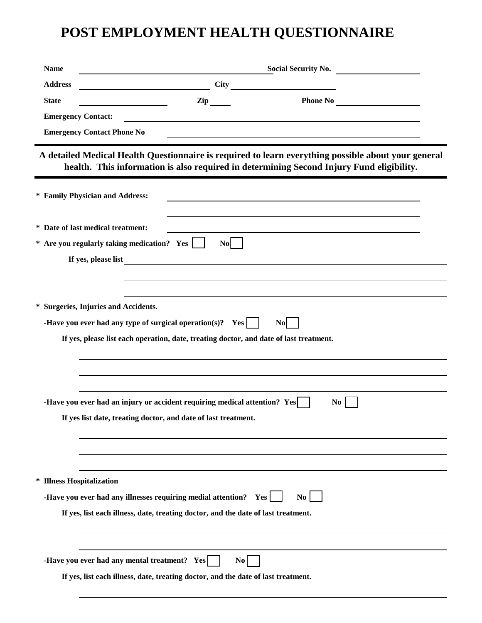## **POST EMPLOYMENT HEALTH QUESTIONNAIRE**

| <b>Name</b>               | <b>Social Security No.</b><br><u> 1980 - Jan Barat, prima politik (</u>                                                                                                                         |  |  |  |
|---------------------------|-------------------------------------------------------------------------------------------------------------------------------------------------------------------------------------------------|--|--|--|
| <b>Address</b>            | $City \qquad \qquad \qquad$                                                                                                                                                                     |  |  |  |
| <b>State</b>              | $\mathbf{Zip}$                                                                                                                                                                                  |  |  |  |
| <b>Emergency Contact:</b> |                                                                                                                                                                                                 |  |  |  |
|                           | <b>Emergency Contact Phone No</b>                                                                                                                                                               |  |  |  |
|                           | A detailed Medical Health Questionnaire is required to learn everything possible about your general<br>health. This information is also required in determining Second Injury Fund eligibility. |  |  |  |
|                           | * Family Physician and Address:                                                                                                                                                                 |  |  |  |
|                           | * Date of last medical treatment:                                                                                                                                                               |  |  |  |
|                           | * Are you regularly taking medication? Yes  <br><b>No</b>                                                                                                                                       |  |  |  |
|                           | If yes, please list                                                                                                                                                                             |  |  |  |
|                           |                                                                                                                                                                                                 |  |  |  |
|                           |                                                                                                                                                                                                 |  |  |  |
|                           | * Surgeries, Injuries and Accidents.                                                                                                                                                            |  |  |  |
|                           | -Have you ever had any type of surgical operation(s)? Yes $\vert$<br>N <sub>o</sub>                                                                                                             |  |  |  |
|                           | If yes, please list each operation, date, treating doctor, and date of last treatment.                                                                                                          |  |  |  |
|                           |                                                                                                                                                                                                 |  |  |  |
|                           |                                                                                                                                                                                                 |  |  |  |
|                           |                                                                                                                                                                                                 |  |  |  |
|                           | -Have you ever had an injury or accident requiring medical attention? Yes<br>N <sub>0</sub>                                                                                                     |  |  |  |
|                           | If yes list date, treating doctor, and date of last treatment.                                                                                                                                  |  |  |  |
|                           |                                                                                                                                                                                                 |  |  |  |
|                           |                                                                                                                                                                                                 |  |  |  |
| * Illness Hospitalization |                                                                                                                                                                                                 |  |  |  |
|                           | -Have you ever had any illnesses requiring medial attention? Yes<br>$\mathbf{No}$                                                                                                               |  |  |  |
|                           | If yes, list each illness, date, treating doctor, and the date of last treatment.                                                                                                               |  |  |  |
|                           |                                                                                                                                                                                                 |  |  |  |
|                           |                                                                                                                                                                                                 |  |  |  |
|                           | -Have you ever had any mental treatment? Yes  <br>$\overline{N_0}$                                                                                                                              |  |  |  |
|                           | If yes, list each illness, date, treating doctor, and the date of last treatment.                                                                                                               |  |  |  |
|                           |                                                                                                                                                                                                 |  |  |  |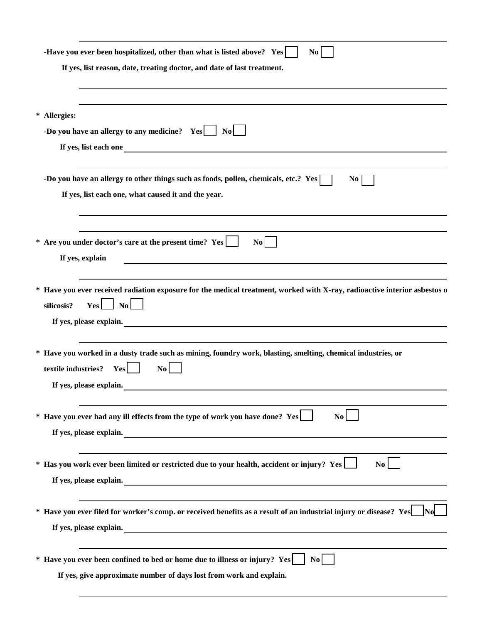| -Have you ever been hospitalized, other than what is listed above? Yes<br>N <sub>0</sub><br>If yes, list reason, date, treating doctor, and date of last treatment.                                                                                                                                           |
|---------------------------------------------------------------------------------------------------------------------------------------------------------------------------------------------------------------------------------------------------------------------------------------------------------------|
|                                                                                                                                                                                                                                                                                                               |
| * Allergies:<br>-Do you have an allergy to any medicine? $Yes$   No  <br>If yes, list each one <u>equal to the contract of the set of the set of the set of the set of the set of the set of the set of the set of the set of the set of the set of the set of the set of the set of the set of the set o</u> |
| -Do you have an allergy to other things such as foods, pollen, chemicals, etc.? Yes [<br>$\overline{N_0}$<br>If yes, list each one, what caused it and the year.                                                                                                                                              |
| * Are you under doctor's care at the present time? Yes<br>$\overline{N_0}$<br>If yes, explain                                                                                                                                                                                                                 |
| * Have you ever received radiation exposure for the medical treatment, worked with X-ray, radioactive interior asbestos o<br>$\vert$ No $\vert$<br>silicosis?<br>Yes  <br>If yes, please explain.                                                                                                             |
| * Have you worked in a dusty trade such as mining, foundry work, blasting, smelting, chemical industries, or<br>textile industries?<br>$\mathbf{N}\mathbf{o}$<br>Yes<br>If yes, please explain.                                                                                                               |
| * Have you ever had any ill effects from the type of work you have done? Yes<br>$\bf No$<br>If yes, please explain.                                                                                                                                                                                           |
| * Has you work ever been limited or restricted due to your health, accident or injury? Yes<br>$\mathbf{N}\mathbf{o}$<br>If yes, please explain.                                                                                                                                                               |
| * Have you ever filed for worker's comp. or received benefits as a result of an industrial injury or disease? Yes<br>If yes, please explain.                                                                                                                                                                  |
| * Have you ever been confined to bed or home due to illness or injury? Yes<br>$\bf{No}$<br>If yes, give approximate number of days lost from work and explain.                                                                                                                                                |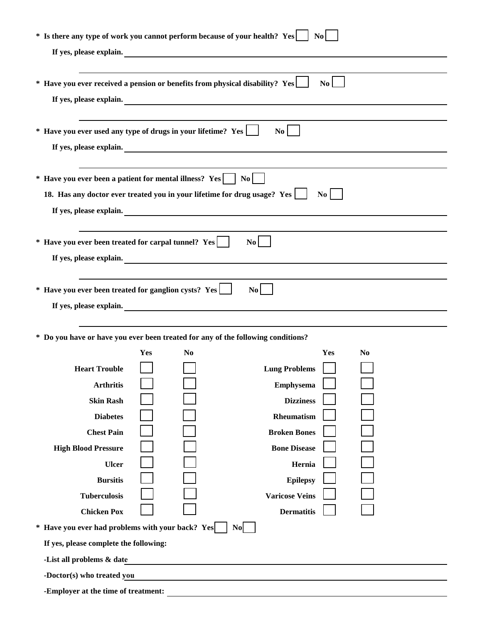| * Is there any type of work you cannot perform because of your health? Yes $\vert$ No                    |                                     |                                                           |                                                                                  |  |  |  |  |  |
|----------------------------------------------------------------------------------------------------------|-------------------------------------|-----------------------------------------------------------|----------------------------------------------------------------------------------|--|--|--|--|--|
| If yes, please explain.                                                                                  |                                     |                                                           |                                                                                  |  |  |  |  |  |
|                                                                                                          |                                     |                                                           |                                                                                  |  |  |  |  |  |
| * Have you ever received a pension or benefits from physical disability? Yes<br>$\overline{N_0}$         |                                     |                                                           |                                                                                  |  |  |  |  |  |
| If yes, please explain.                                                                                  |                                     |                                                           |                                                                                  |  |  |  |  |  |
|                                                                                                          |                                     |                                                           |                                                                                  |  |  |  |  |  |
| * Have you ever used any type of drugs in your lifetime? Yes                                             |                                     |                                                           | $\mathbf{N}\mathbf{o}$                                                           |  |  |  |  |  |
|                                                                                                          | If yes, please explain.             |                                                           |                                                                                  |  |  |  |  |  |
|                                                                                                          |                                     |                                                           |                                                                                  |  |  |  |  |  |
|                                                                                                          |                                     |                                                           |                                                                                  |  |  |  |  |  |
|                                                                                                          |                                     |                                                           | $\bf{No}$                                                                        |  |  |  |  |  |
| 18. Has any doctor ever treated you in your lifetime for drug usage? Yes                                 |                                     |                                                           |                                                                                  |  |  |  |  |  |
| If yes, please explain.                                                                                  |                                     |                                                           |                                                                                  |  |  |  |  |  |
|                                                                                                          |                                     |                                                           |                                                                                  |  |  |  |  |  |
| * Have you ever been treated for carpal tunnel? Yes<br>$\mathbf{N}\mathbf{o}$<br>If yes, please explain. |                                     |                                                           |                                                                                  |  |  |  |  |  |
|                                                                                                          |                                     |                                                           |                                                                                  |  |  |  |  |  |
|                                                                                                          |                                     |                                                           |                                                                                  |  |  |  |  |  |
| * Have you ever been treated for ganglion cysts? Yes                                                     |                                     |                                                           | $\mathbf{N}\mathbf{o}$                                                           |  |  |  |  |  |
|                                                                                                          |                                     |                                                           | If yes, please explain.                                                          |  |  |  |  |  |
|                                                                                                          |                                     | <u> 1989 - Johann Barnett, fransk politiker (d. 1989)</u> |                                                                                  |  |  |  |  |  |
|                                                                                                          |                                     |                                                           | * Do you have or have you ever been treated for any of the following conditions? |  |  |  |  |  |
|                                                                                                          | Yes                                 | N <sub>0</sub>                                            | Yes<br>No                                                                        |  |  |  |  |  |
| <b>Heart Trouble</b>                                                                                     |                                     |                                                           | <b>Lung Problems</b>                                                             |  |  |  |  |  |
| <b>Arthritis</b>                                                                                         |                                     |                                                           | <b>Emphysema</b>                                                                 |  |  |  |  |  |
| <b>Skin Rash</b>                                                                                         |                                     |                                                           | <b>Dizziness</b>                                                                 |  |  |  |  |  |
| <b>Diabetes</b>                                                                                          |                                     |                                                           | Rheumatism                                                                       |  |  |  |  |  |
| <b>Chest Pain</b>                                                                                        |                                     |                                                           | <b>Broken Bones</b>                                                              |  |  |  |  |  |
| <b>High Blood Pressure</b>                                                                               |                                     |                                                           | <b>Bone Disease</b>                                                              |  |  |  |  |  |
| <b>Ulcer</b>                                                                                             |                                     |                                                           | Hernia                                                                           |  |  |  |  |  |
| <b>Bursitis</b>                                                                                          |                                     |                                                           | <b>Epilepsy</b>                                                                  |  |  |  |  |  |
| <b>Tuberculosis</b>                                                                                      |                                     |                                                           | <b>Varicose Veins</b>                                                            |  |  |  |  |  |
| <b>Chicken Pox</b>                                                                                       |                                     |                                                           | <b>Dermatitis</b>                                                                |  |  |  |  |  |
| * Have you ever had problems with your back? Yes                                                         |                                     |                                                           | N <sub>o</sub>                                                                   |  |  |  |  |  |
| If yes, please complete the following:                                                                   |                                     |                                                           |                                                                                  |  |  |  |  |  |
| -List all problems & date                                                                                |                                     |                                                           |                                                                                  |  |  |  |  |  |
| -Doctor(s) who treated you                                                                               |                                     |                                                           |                                                                                  |  |  |  |  |  |
|                                                                                                          | -Employer at the time of treatment: |                                                           |                                                                                  |  |  |  |  |  |